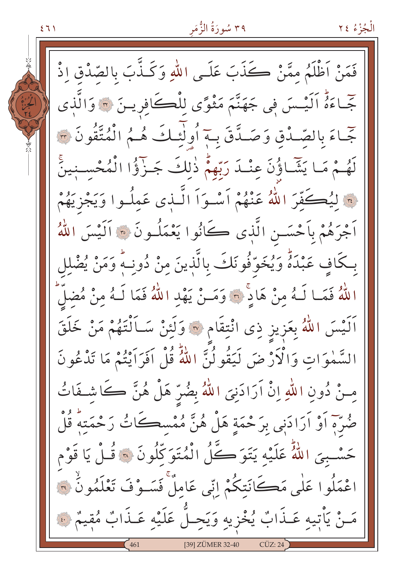$271$ 

فَمَنْ اَظْلَمُ ممَّنْ كَذَبَ عَلَى اللّهِ وَكَذَّبَ بِالصَّدْقِ إِذْ جّاءَةُ اَلَيْسَ فِي جَهَنَّمَ مَثْوًى لِلْڪَافِرِينَ ۞ وَالَّذِي جَّاءَ بِالصَّدْقِ وَصَدَّقَ بِ4ٍ أُولَٰٓئِكَ هُمُ الْمُتَّقُونَ ٣ لَهُمْ مَا يَثَمَّاؤُنَ عِنْـدَ رَبِّهِمْ ذٰلِكَ جَـزَّؤُا الْمُحْسِـنِينَّ » ليُكَفّرَ اللهُ عَنْهُمْ أَسْوَأَ الَّـذي عَملُـوا وَيَجْزِيَهُمْ اَجْرَهُمْ بِاَحْسَـنِ الَّذِي ڪَانُوا يَعْمَلُـونَ ۞ اَلَيْسَ اللَّهُ بِكَافٍ عَبْدَةٌ وَيُخَوَّفُونَكَ بِالَّذِينَ مِنْ دُونِـهٌ وَمَنْ يُضْلِل اللَّهُ فَمَـا لَـهُ مِنْ هَادٍّ ۞ وَمَـنْ يَهْدِ اللَّهُ فَمَا لَـهُ مِنْ مُضِلِّ اَلَيْسَ اللَّهُ بِعَزِيزٍ ذِى انْتِقَامِ ۞ وَلَئِنْ سَـاَلْتَهُمْ مَنْ خَلَقَ السَّمٰوَاتِ وَالْأَرْضَ لَيَقُولُنَّ اللَّهُ قُلْ اَفَرَاَيْتُمْ مَا تَذْعُونَ مِنْ دُونِ اللَّهِ إِنْ آرَادَنِيَ اللَّهُ بِضُرِّ هَلْ هُنَّ كَاشِفَاتُ صُّرَّهِ أَوْ أَرَادَنِي بِرَحْمَةٍ هَلْ هُنَّ مُمْسِكَاتُ رَحْمَتُهُ قُلْ حَسْبِيَ اللَّهُ عَلَيْهِ يَتَوَكَّلُ الْمُتَوَكِّلُونَ ۞ قُـلْ يَا قَوْم اعْمَلُوا عَلَٰى مَڪَانَتِكُمْ اِنِّي عَامِلٌّ فَسَـوْفَ تَعْلَمُونُ ۞ ـنْ يَأْتيه عَـذَابٌ يُخْزِيهِ وَيَحِـلُّ عَلَيْهِ عَـذَابٌ مُقِيمٌ ۞ [39] ZÜMER 32-40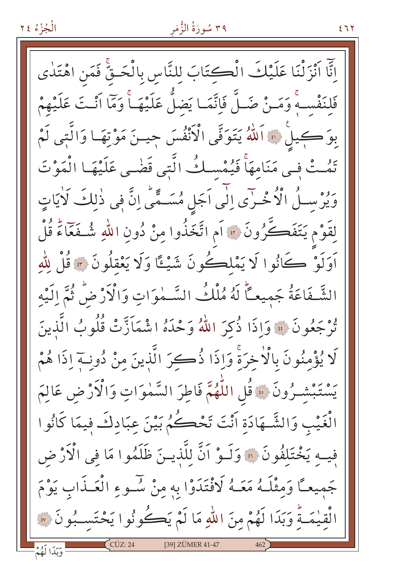# ۳۹ سُورَةُ الزُّمَر

انَّا اَنْزَلْنَا عَلَيْكَ الْكِتَابَ لِلنَّاسِ بِالْحَقِّ فَمَنِ اهْتَدٰى فَلِنَفْسِهِ وَمَـنْ ضَـلَّ فَإِنَّمَـا يَضلُّ عَلَيْهَـأً وَمَا اَنْـتَ عَلَيْهِمْ بِوَ كِيلْ ﴾ اَللَّهُ يَتَوَفَّى الْأَنْفُسَ جِينَ مَوْتِهَا وَالَّتِي لَمْ تَمُتْ في مَنَامهَاً فَيُمْسِكُ الَّتِي قَضْى عَلَيْهَا الْمَوْتَ وَيُرْسِـلُ الْأُخْـرَى اِلَى اَجَلِ مُسَـمَّى اِنَّ فِى ذٰلِكَ لَأيَاتٍ لِقَوْمِ يَتَفَكَّرُونَ ۞ آمِ اتَّخَذُوا مِنْ دُونِ اللّٰهِ شُـفَعَّاءً قُلْ أَوَلَوْ كَانُوا لَا يَمْلِكُونَ شَيْئًا وَلَا يَعْقِلُونَ ۞ قُلْ لِلَّهِ الشَّفَاعَةُ جَمِيعاً لَهُ مُلْكُ السَّمٰوَاتِ وَالْأَرْضُ ثُمَّ الَّيْه ثَرْجَعُونَ ۞ وَإِذَا ذُكِرَ اللَّهُ وَحْدَهُ اشْمَاَزَّتْ قُلُوبُ الَّذينَ لَا يُؤْمِنُونَ بِالْاْخِرَةِ وَإِذَا ذُكِرَ الَّذِينَ مِنْ دُونِــٓ إِذَا هُمْ يَسْتَبْشَـرُونَ ۞ قُلِ اللَّهُمَّ فَاطِرَ السَّمٰوَاتِ وَالْأَرْضِ عَالِمَ الْغَيْبِ وَالشَّـهَادَةِ أَنْتَ تَحْكُمُ بَيْنَ عِبَادِكَ فِيمَا كَانُوا فِيهِ يَخْتَلِفُونَ ۞ وَلَـوْ أَنَّ لِلَّذِيـنَ ظَلَمُوا مَا فِي الْأَرْضِ جَمِيعـًا وَمِثْلَـهُ مَعَـهُ لَافْتَدَوْا بِهِ مِنْ سُـوءِ الْعَـذَابِ يَوْمَ الْقيٰمَـةُ وَبَدَا لَهُمْ منَ اللهِ مَا لَمْ يَكُونُوا يَحْتَسِـبُونَ ۞ [39] ZÜMER 41-47

 $577$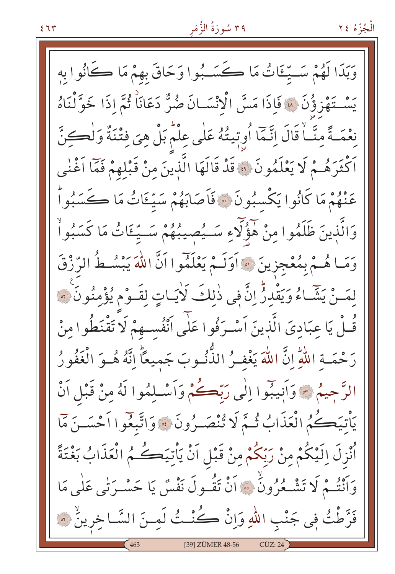وَبَدَا لَهُمْ سَـيِّـئَاتُ مَا ڪَسَـبُوا وَحَاقَ بهمْ مَا ڪَانُوا به يَسْتَهْزِؤُنَ \* فَإِذَا مَسَّ الْانْسَـانَ ضُرٌّ دَعَانَاً ثُمَّ إِذَا خَوَّلْنَاهُ نِعْمَـةً مِنَّـاً قَالَ اِنَّمَا أُوبِّيتُهُ عَلَى عِلْمَ بَلْ هِيَ فِتْنَةٌ وَلْكِنَّ اَكْثَرَهُـمْ لَا يَعْلَمُونَ ۞ قَدْ قَالَهَا الَّذِينَ مِنْ قَبْلِهِمْ فَمَّا اَغْنٰى عَنْهُمْ مَا كَانُوا يَكْسبُونَ ۞ فَأَصَابَهُمْ سَيِّءَاتُ مَا ڪَسَبُواْ وَالَّذِينَ ظَلَمُوا مِنْ هَؤُلَّاءِ سَــيُصِيبُهُمْ سَــيِّـٵتُ مَا كَسَبُواْ وَمَا هُـمْ بِمُعْجِزِينَ ۞ أَوَلَـمْ يَعْلَمُوا أَنَّ اللَّهَ يَبْسُـطُ الرِّزْقَ لِمَـنْ يَثِّمَـاءُ وَيَقْدِرُّ إِنَّ فِي ذٰلِكَ لَأيَـاتٍ لِقَـوْمِ يُؤْمِنُونَ ۚ ﴾ قُـلْ يَا عبَاديَ الَّذِينَ اَسْـرَفُوا عَلٰى اَنْفُسـهِمْ لَا َتَقْنَطُوا منْ رَحْمَــة اللّهِ إنَّ اللهَ يَغْفـرُ الذُّنُـوبَ جَميعاً إنَّهُ هُــوَ الْغَفُورُ الرَّحِيمُ \* وَأَنِيبُوا إِلَٰى رَبَّكُمْ وَأَسْلِمُوا لَهُ مِنْ قَبْلِ أَنْ يَأْتِيَكُمُ الْعَذَابُ ثُمَّ لَا تُنْصَـرُونَ ۞ وَاتَّبِعُوا أَحْسَـنَ مَمَّا ٱنْزِلَ اِلَيْكُمْ مِنْ رَبِّكُمْ مِنْ قَبْلِ اَنْ يَأْتِيَكُمُ الْعَذَابُ بَغْتَةً وَأَنْتُـمْ لَا تَشْـعُرُونُ ۚ ۚ أَنْ تَقُـولَ نَفْسٌ يَا حَسْـرَتٰى عَلٰى مَا فَرَّطْتُ فِي جَنْبِ اللّهِ وَإِنْ كُنْــتُ لَمِــنَ السَّــاخِرِينُ ۞ [39] ZÜMER 48-56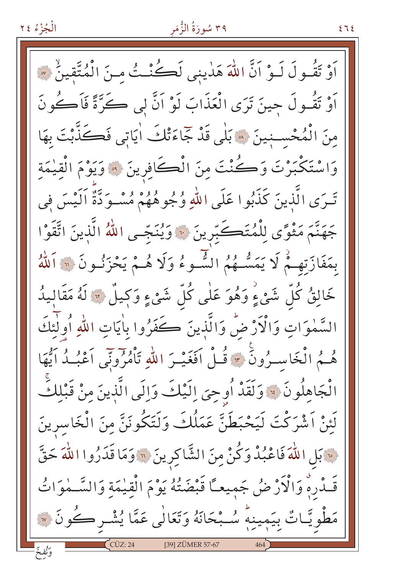# ۳۹ سُورَةُ الزُّمَرِ

 $575$ 

اَوْ تَقُولَ لَـوْ اَنَّ اللَّهَ هَدٰينِي لَكُنْـتُ مِنَ الْمُتَّقِينُ ۞ اَوْ تَقُـولَ حِينَ تَرَى الْعَذَابَ لَوْ اَنَّ لِي كَوَّةً فَاَكُونَ مِنَ الْمُحْسِنِينَ ۞ بَلْيِ قَدْ جَاءَتْكَ أَيَاتِي فَكَذَّبْتَ بِهَا وَاسْتَكْبَرْتَ وَكُنْتَ مِنَ الْكَافِرِينَ ﴾ وَيَوْمَ الْقِيْمَةِ تَـرَى الَّذِينَ كَذَبُوا عَلَى اللهِ وُجُوهُهُمْ مُسْـوَدَّةٌ اَلَيْسَ فِي جَهَنَّمَ مَثْوًى لِلْمُتَكَبِّرِينَ ۞ وَيُنَجّي اللّهُ الَّذينَ اتَّقَوْا بِمَفَازَتِهِـمْ لَا يَمَسُّـهُمُ الشُّـوءُ وَلَا هُـمْ يَحْزَنُـونَ ۞ ٱللَّهُ خَالِقٌ كُلِّ شَيْءٍ وَهُوَ عَلٰى كُلِّ شَيْءٍ وَكِيلٌ ۞ لَهُ مَقَالِيدُ السَّمٰوَاتِ وَالْآرْضُ وَالَّذِينَ كَفَرُوا بِاٰيَاتِ اللهِ أُولَٰئَكَ هُـمُ الْخَاسِـرُونَ \* قُـلْ اَفَغَيْـرَ اللهِ تَأْمُرُونَنِي اَعْبُـدُ اَيُّهَا الْجَاهِلُونَ ﴾ وَلَقَدْ أُوحِيَ اِلَيْكَ وَالَى الَّذِينَ مِنْ قَبْلِكَ لَئِنْ اَشْرَكْتَ لَيَحْبَطَنَّ عَمَلُكَ وَلَتَكُونَنَّ مِنَ الْخَاسرينَ فَ بَلِ اللَّهَ فَاعْبُدْ وَكُنْ مِنَ الشَّاكِرِينَ ۞ وَمَا قَدَرُوا اللَّهَ حَقَّ قَـٰدُرِهِ وَالْأَرْضُ جَمِيعـًا قَبْضَتُهُ يَوْمَ الْقِيْمَةِ وَالسَّـْمُوَاتُ مَطْوِيَّـاتٌ بِيَمِينِهِ سُـبْحَانَهُ وَتَعَالٰى عَمَّا يُشْـرِكُونَ ۞ [39] ZÜMER 57-67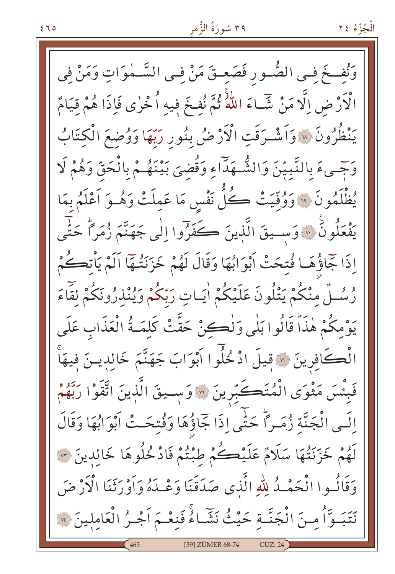وَنُفــخَ فـى الصُّــور فَصَعِــقَ مَنْ فِـى السَّــمٰوَاتِ وَمَنْ فِى الْأَرْضِ اِلَّا مَنْ شَّـاءَ اللَّهُ ثُمَّ نُفِخَ فِيهِ اُخْرٰى فَإِذَا هُمْ قِيَامٌ يَنْظُرُونَ ۞ وَاَشْرَقَتِ الْأَرْضُ بِنُورِ رَبِّهَا وَوُضِعَ الْكِتَابُ وَجِّيءَ بِالنَّبِيّنَ وَالشُّهَدَّاءِ وَقُضىَ بَيْنَهُمْ بِالْحَقِّ وَهُمْ لَا يُظْلَمُونَ ۞ وَوُقِّيَتْ كُلّْ نَفْسٍ مَا عَمِلَتْ وَهُـوَ أَعْلَمُ بِمَا يَفْعَلُونَ ۞ وَسِمِيقَ الَّذِينَ كَخَرَّوا اِلْمِي جَهَنَّمَ زُمَراً حَتَّى إِذَا جَاؤُهَـا فُتحَتْ أَبْوَابُهَا وَقَالَ لَهُمْ خَزَنَتُـهَا أَلَمْ يَأْتِكُمْ رُسُـلٌ مِنْكُمْ يَتْلُونَ عَلَيْكُمْ اٰيَـاتِ رَبّكُمْ وَيُنْذِرُونَكُمْ لِقَّاءَ يَوْمِكُمْ هٰذَاْ قَالُوا بَلْيِ وَلْكِنْ حَقَّتْ كَلِمَـةُ الْعَذَابِ عَلَى الْڪَافِرِينَ ۞ قِيلَ ادْ خُلُوا اَبْوَابَ جَهَنَّمَ خَالِدِينَ فِيهَاْ فَبِئْسَ مَثْوَى الْمُتَكَبِّرِينَ ۞ وَسـيقَ الَّذِينَ اتَّقَوْا رَبَّهُمْ الَـى الْجَنَّة زُمَـراً حَتَّى إِذَا جَمَاؤُهَا وَفُتِحَـتْ أَبْوَابُهَا وَقَالَ لَهُمْ خَزَنَتُهَا سَلَامٌ عَلَيْكُمْ طِبْتُمْ فَادْخُلُوهَا خَالِدِينَ ۞ وَقَالُـوا الْحَمْـدُ لِلّٰهِ الَّذي صَدَقَنَا وَعْـدَهُ وَاَوْرَثَنَا الْأَرْضَ بِهِ بِهِ مِنْ الْجَنَّـةِ حَيْثُ نَشَّاءُ فَنعْـمَ أَجْـرُ الْعَاملينَ ۞ [39] ZÜMER 68-74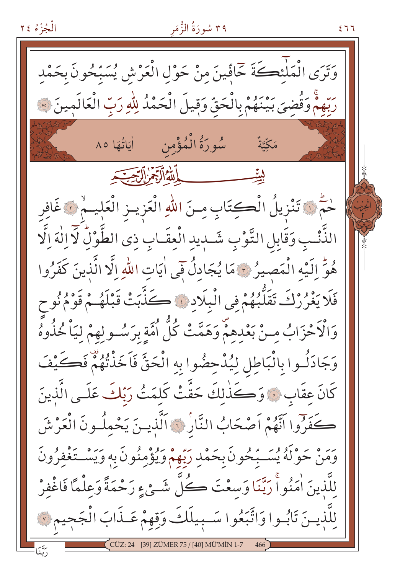الْجُزْءُ ٢٤ ۳۹ سُورَةُ الزُّمَر  $277$ وَتَرَى الْمَلْئِكَةَ خَافِّينَ مِنْ حَوْلِ الْعَرْشِ يُسَبِّحُونَ بِحَمْدِ رِبِّهِمْ وَقُضِيَ بَيْنَهُمْ بِالْحَقِّ وَقِيلَ الْحَمْدُ لِلَّهِ رَبِّ الْعَالَمِينَ ۞ سُورَةُ الْمُؤْمِن اٰیَاتُهَا ٨٥ مَكِّيَّةٌ حُمُّ ۞ تَنْزِيلُ الْكِتَابِ مِنَ اللّهِ الْعَزِيــزِ الْعَلِيــمْ ۞ غَافِر الذَّنْبِ وَقَابِلِ التَّوْبِ شَبِيدِ الْعِقَـابِ ذِي الطَّوْلُ لَآ اِلْهَ اِلَّا هُوِّ إِلَيْهِ الْمَصِيرُ ٣ مَا يُجَادِلُ فَي اٰيَاتِ اللَّهِ إِلَّا الَّذِينَ كَفَرُوا فَلَا يَغْرُرْكَ تَقَلَّبُهُمْ فِي الْبِلَادِ ﴾ كَذَّبَتْ قَبْلَهُمْ قَوْمُ نُو ح وَالْأَحْزَابُ مِنْ بَعْدِهِمْ وَهَمَّتْ كُلُّ أُمَّةٍ بِرَسُـولِهِمْ لِيَاْ خُذُوهُ وَجَادَلُـوا بِالْبَاطِلِ لِيُدْحِضُوا بِهِ الْحَقَّ فَاَخَذْتُهُمْ فَكَيْفَ كَانَ عِقَابٍ ۞ وَكَذَٰلِكَ حَقَّتْ كَلِمَتُ رَبَّكَ عَلَـى الَّذِينَ كَفَرُوا اَنَّهُمْ اَصْحَابُ النَّارُ ﴾ اَلَّذِينَ يَحْمِلُونَ الْعَرْشَ وَمَنْ حَوْلَهُ يُسَـبِّحُونَ بِحَمْدِ رَبِّهِمْ وَيُؤْمِنُونَ بِهِ وَيَسْـتَغْفِرُونَ للَّذينَ اٰمَنُواْ رَبَّنَا وَسعْتَ كُلِّ شَـيْءٍ رَحْمَةً وَعِلْمًا فَاغْفِرْ للَّذيـنَ تَابُـوا وَاتَّبَعُوا سَـبِيلَكَ وَقِهِمْ عَـذَابَ الْجَجِيمِ لَا [39] ZÜMER 75 / [40] MÜ'MİN 1-7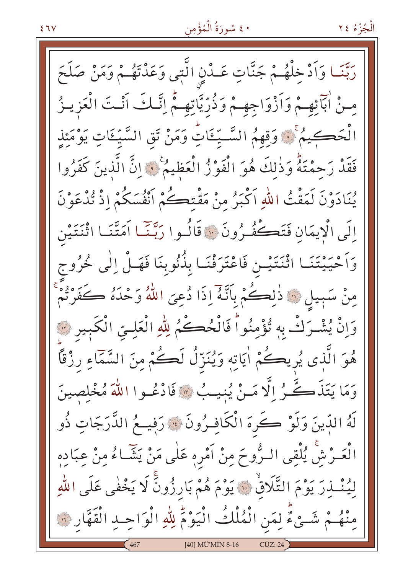### ٤٠ سُورَةُ الْمُؤْمِن

ربَّنَـا وَاَدْخِلْهُـمْ جَنَّاتٍ عَـدْنٍ الَّتِى وَعَدْتَهُـمْ وَمَنْ صَلَحَ مِنْ اٰبَآئِهِمْ وَاَزْوَاجِهِمْ وَذُرِّيَّاتِهِمْ إِنَّكَ اَنْتَ الْعَزِينُ الْحَكِيمُ ۚ ۚ وَقِهِمُ السَّـِّئَاتِّ وَمَنْ تَقِ السَّيِّئَاتِ يَوْمَئِذِ فَقَدْ رَحِمْتَهُ وَذٰلكَ هُوَ الْفَوْزُ الْعَظِيمُ ۚ وَانَّ الَّذِينَ كَفَرُوا يُنَادَوْنَ لَمَقْتُ اللَّهِ اَكْبَرُ مِنْ مَقْتِحَكُمْ اَنْفُسَكُمْ إِذْ تُدْعَوْنَ إِلَى الْايِمَانِ فَتَكْفُّرُونَ ۞ قَالُـوا رَبَّنَـا اَمَتَّنَـا اثْنَتَيْنِ وَاَحْيَيْتَنَـا اثْنَتَيْـن فَاعْتَرَفْنَـا بِذُنُوبِنَا فَهَـلْ إِلٰى خُرُوج مِنْ سَبِيلٍ ۞ ذٰلِكُمْ بِأَنَّهُ إِذَا دُعِيَ اللَّهُ وَحْدَهُ كَفَرْتُمْ وَإِنْ يُشْرَكْ بِهِ تُؤْمِنُواْ فَالْحُكْمُ لِلَّهِ الْعَلِيّ الْكَبِيرِ ۞ هُوَ الَّذِى يُرِيكُمْ اٰيَاتِهِ وَيُنَزِّلُ لَڪُمْ مِنَ السَّمَاءِ رزْقًا وَمَا يَتَذَكَّـرُ إِلَّا مَـنْ يُنيـبُ ٣ فَادْعُـوا اللَّهَ مُخْلِصِينَ لَهُ الدِّينَ وَلَوْ كُرِهَ الْكَافِـرُونَ ۞ رَفِيــعُ الدَّرَجَاتِ ذُو الْعَـرْشْ يُلْقِى الـرُّوحَ مِنْ اَمْرِهِ عَلٰى مَنْ يَشَّـاءُ مِنْ عِبَادِهِ لِيُنْبِذِرَ يَوْمَ التَّلَاقُ ۚ ۚ يَوْمَ هُمْ بَارِزُونَّ لَا يَخْفٰى عَلَى اللَّهِ مِنْهُـمْ شَـيْءٌ لِمَنِ الْمُلْكُ الْيَوْمِّ لِلّهِ الْوَاحِـدِ الْقَهَّارِ ۞ [40] MÜ'MİN 8-16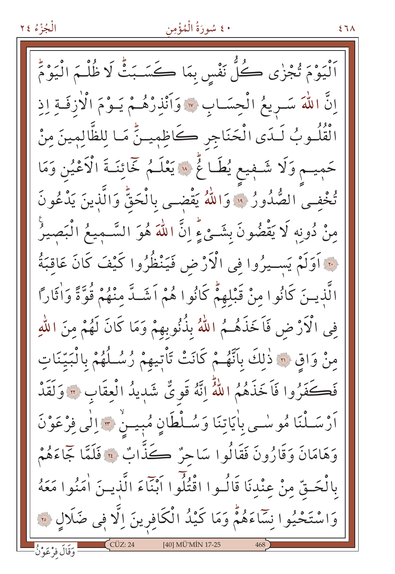### ٤٠ سُورَةُ الْمُؤْمِن

 $57<sub>A</sub>$ 

اَنْيَوْمَ تُجْزٰى كُلُّ نَفْسٍ بِمَا كَسَـبَتْْ لَا ظُلْـمَ الْيَوْمَ اِنَّ اللَّهَ سَـرِيعُ الْحِسَـابِ \* وَاَنْذِرْهُـمْ يَـوْمَ الْأَزِفَـةِ اِذِ الْقُلُـوبُ لَـدَى الْحَنَاجِرِ كَاظِمِيـنٍّ مَـا لِلظَّالِمِينَ مِنْ حَمِيـمٍ وَلَا شَـفِيعٍ يُطَـاغٌ ۞ يَعْلَـمُ خَمَائِنَـةَ الْاَعْيُنِ وَمَا تُخْفِى الصُّدُورُ ۚ وَاللَّهُ يَقْضِى بِالْحَقِّ وَالَّذِينَ يَدْعُونَ مِنْ دُونِهِ لَا يَقْضُونَ بِشَـئٍ ءٍ إنَّ اللَّهَ هُوَ السَّـميعُ الْبَصيرُ فِيَّةِ أَوَلَمْ يَسِيرُوا فِي الْأَرْضِ فَيَنْظُرُوا كَيْفَ كَانَ عَاقِبَةُ الَّذِينَ كَانُوا مِنْ قَبْلِهِمّْ كَانُوا هُمْ اَشَـدَّ مِنْهُمْ قُوَّةً وَاٰثَاراً فِي الْأَرْضِ فَاَخَذَهُـمُ اللَّهُ بِذُنُوبِهِمْ وَمَا كَانَ لَهُمْ مِنَ اللَّهِ مِنْ وَاقِ ۞ ذٰلِكَ بِأَنَّهُـمْ كَانَتْ تَأْتِيهِمْ رُسُلُهُمْ بِالْبَيِّنَاتِ فَكَفَرُوا فَاَخَذَهُمُ اللَّهُ إِنَّهُ قَوِيٌّ شَدٖيدُ الْعِقَابِ ۞ وَلَقَدْ أَرْسَـلْنَا مُوسْـى بِاٰيَاتِنَا وَسُـلْطَانٍ مُبِيـنٍٰ ۞ اِلٰى فِرْعَوْنَ وَهَامَانَ وَقَارُونَ فَقَالُوا سَاحِرٌ ڪَذَّابٌ ۞ فَلَمَّا جَمَاءَهُمْ بِالْحَـقِّ مِنْ عِنْدِنَا قَالُـوا اقْتُلُوا أَبْنَاءَ الَّذِيـنَ اٰمَنُوا مَعَهُ وَاسْتَحْيُوا نِسَاءَهُمْ وَمَا كَيْدُ الْكَافِرِينَ اِلَّا فِي ضَلَالٍ ۞ [40] MÜ'MİN 17-25 وَقَالَ فِرْعَوْنُ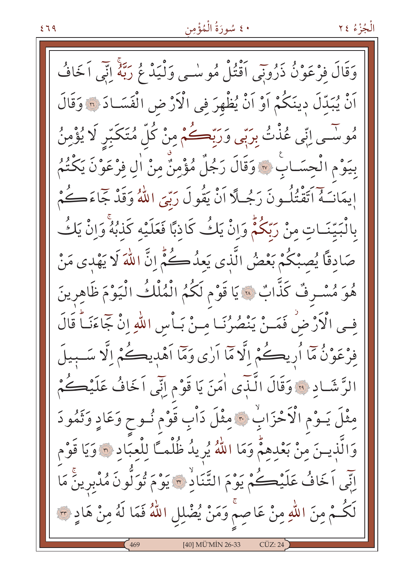### ٤٠ سُورَةُ الْمُؤْمِن

وَقَالَ فِرْعَوْنُ ذَرُونِي آقْتُلْ مُوسْمِي وَلْيَدْ مُ رَبَّهُ إِنِّي اَخَافُ اَنْ يُبَدِّلَ دِينَكُمْ اَوْ اَنْ يُظْهِرَ فِي الْأَرْضِ الْفَسَـادَ ۞ وَقَالَ مُوسَّـى اِبِّي عُذْتُ بِرَبِّي وَرَبِّڪُمْ مِنْ كُلِّ مُتَكَبِّر لَا يُؤْمِنُ بِيَوْمِ الْحِسَـابِ ۞ وَقَالَ رَجُلٌ مُؤْمِنٌ مِنْ اٰلِ فِرْعَوْنَ يَكْتُمُ إِيمَانَـَهُ اَتَقْتُلُـونَ رَجُـلًا اَنْ يَقُولَ رَبِّيَ اللَّهُ وَقَدْ جَمَاءَكُمْ بِالْبَيِّنَـاتِ مِنْ رَبِّكُمّْ وَإِنْ يَكُ كَاذِبًا فَعَلَيْه كَذٰبُهُ وَإِنْ يَكُ صَادِقًا يُصِبْكُمْ بَعْضُ الَّذِي يَعِدُكُمُ إِنَّ اللَّهَ لَا يَهْدِي مَنْ هُوَ مُسْرِفٌ كَذَّابٌ ۞ يَا قَوْمِ لَكُمُ الْمُلْكُ الْيَوْمَ ظَاهِرِينَ في الْأَرْضْ فَمَـنْ يَنْصُرُنَـا مـنْ بَـأْسِ اللّٰهِ إِنْ جَاءَنَـاً قَالَ فِرْعَوْنُ مَا أُرِيكُمْ اِلَّا مَا أَرٰى وَمَا أَهْدِيكُمْ اِلَّا سَـبِيلَ الرَّشَادِ ۞ وَقَالَ الَّنَّدِي اٰمَنَ يَا قَوْمِ اِنِّي اَخَافُ عَلَيْكُمْ مِثْلَ يَـوْمِ الْاَحْزَابِ \* مِثْلَ دَاْبِ قَوْمٍ نُـوحٍ وَعَادٍ وَثَمُودَ وَالَّذِينَ مِنْ بَعْدِهِمّْ وَمَا اللَّهُ يُرِيدُ ظُلْمـَّا لِلْعِبَادِ ۞ وَيَا قَوْم اِنِّي اَخَافُ عَلَيْكُمْ يَوْمَ التَّنَادُ ٣ يَوْمَ تُوَلَّونَ مُدْبِرِينَ مَا لَكُـمْ مِنَ اللّٰهِ مِنْ عَاصِمْ وَمَنْ يُضْلِلِ اللّٰهُ فَمَا لَهُ مِنْ هَادٍ ٣ [40] MÜ'MİN 26-33  $CÜZ:24$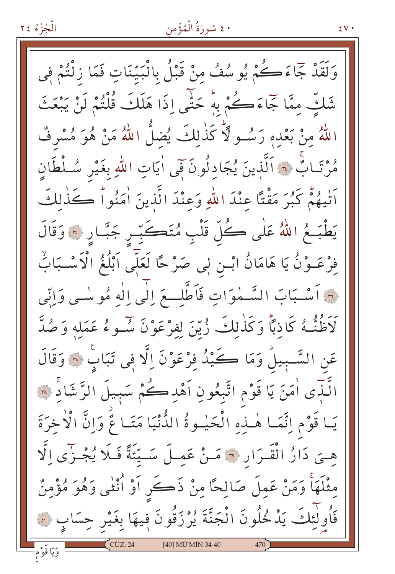#### ٤٠ سُورَةُ الْمُؤْمِن

 $\mathcal{N}$ 

وَلَقَدْ جَمَاءَكُمْ يُوسُفُ مِنْ قَبْلُ بِالْبَيِّنَاتِ فَمَا زِنْتُمْ فِي شَكَّ ممَّا جَاءَكُمْ بِهُ حَتَّى إِذَا هَلَكَ قُلْتُمْ لَنْ يَبْعَثَ اللَّهُ منْ بَعْدِهِ رَسُــوٍ لَّا كَذٰلكَ يُضلُّ اللَّهُ مَنْ هُوَ مُسْرِفٌ مُرْتَـابٌ ۞ اَلَّذِينَ يُجَادِلُونَ فَمِي اٰيَاتِ اللَّهِ بِغَيْرِ سُـلْطَانِ أَتَّنِهُمْ كَبُرَ مَقْتًا عِنْدَ اللَّهِ وَعِنْدَ الَّذِينَ أَمَنُواْ كَذَٰلِكَ يَطْبَــمُ اللّهُ عَلٰى ڪُلّ قَلْبِ مُتَڪَبِّـرِ جَبَّـارِ ۞ وَقَالَ فِرْعَــوْنُ يَا هَامَانُ ابْــن لٖـى صَرْحًا لَعَلَّمِى اَبْلُغُ الْاَسْــبَابٌ لِهِ أَسْبَابَ السَّـمٰوَاتِ فَأَطَّلِّـعَ إِلَٰى إِلٰهِ مُوسْـى وَإِنِّي لَاَظُنُّـهُ كَاذِبًا وَكَذٰلِكَ زُيّنَ لِفِرْعَوْنَ سُـوءُ عَمَلِهِ وَصُدَّ عَنِ السَّـبِيلُ وَمَا كَـيْدُ فِرْعَوْنَ اِلَّا فِي تَبَابٍ ۞ وَقَالَ الُّـذِّى اٰمَنَ يَا قَوْمِ اتَّبِعُونِ اَهْدِكُمْ سَبِيلَ الرَّشَادِّ ۞ يَـا قَوْمِ اِنَّمَـا هٰـنِهِ الْحَيْـوةُ الدُّنْيَا مَتَـا مٌّ وَاِنَّ الْأَخِرَةَ هِـيَ دَارُ الْقَـرَارِ ۞ مَـنْ عَمِـلَ سَــيِّئَةً فَـلَا يُجْـزِّي اِلَّا مِثْلَهَاْ وَمَنْ عَمِلَ صَالِحًا مِنْ ذَكَرٍ أَوْ أُنْثَى وَهُوَ مُؤْمِنٌ فَأُولٰئِكَ يَدْمُحُلُونَ الْجَنَّةَ يُرْزَقُونَ فِيهَا بِغَيْرِ حِسَابٍ ۞ [40] MÜ'MİN 34-40 وَيَا قَوْم-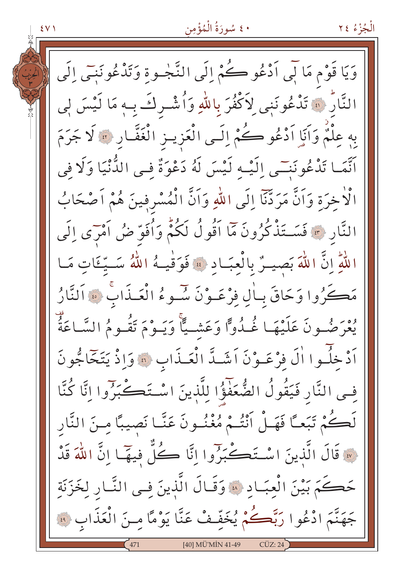٤٠ سُورَةُ الْمُؤْمِن الْجُزْءُ ٢٤  $\S$  V  $\S$ وَيَا قَوْمِ مَا لِّي اَدْعُو ڪُمْ إِلَى النَّجْـوةِ وَتَذْعُونَنِي إِلَى النَّارُ ۞ تَدْعُونَنِي لِأَكْفُرَ بِاللَّهِ وَأُشْـرِكَ بِـهِ مَا لَيْسَ لِي بِهِ عِلْمٌ وَآَيَا أَدْعُو كُمْ إِلَى الْعَزِيـزِ الْغَفَّـارِ ۞ لَا جَرَمَ اَنَّمَـا تَدْعُونَنِـّي إِلَيْـه لَيْسَ لَهُ دَعْوَةٌ فـي الدُّنْيَا وَلَا في الْاخرَة وَاَنَّ مَرَدَّنَا إِلَى اللهِ وَاَنَّ الْمُسْرِفِينَ هُمْ اَصْحَابُ النَّارِ \* فَسَـتَذْكُرُونَ مَا اَقُولُ لَكُمْ وَاُفَوّ ضُ اَمْرَى إِلَى اللَّهِ إِنَّ اللَّهَ بَصِيلٌ بِالْعِبَـادِ ۞ فَوَقْيـهُ اللَّهُ سَـيِّـئَاتٍ مَـا مَكَّرُوا وَحَاقَ بِبَالٍ فِرْعَـوْنَ سُّـوءُ الْعَـذَابِ ۞ اَلنَّارُ يُعْرَضُونَ عَلَيْهَا غُـدُوًّا وَعَشْـيًّا وَيَـوْمَ تَقُـومُ السَّـاعَةُ ۚ أَدْخِلُوا الَّ فَرْعَـوْنَ اَشَـدَّ الْعَـذَابِ ۞ وَإِذْ يَتَخَاجُونَ فِي النَّارِ فَيَقُولُ الضُّعَفَوُ۠ا لِلَّذِينَ اسْتَكَـكْبَرُوا اِنَّا كُنَّا لَكُمْ تَبَعـًا فَهَـلْ أَنْتُـمْ مُغْنُـونَ عَنَّـا نَصيبًا مِـنَ النَّار لَّهَ قَالَ الَّذِينَ اسْتَكَسَّبَرُوا إِنَّا كُلُّ فِيهَا إِنَّ اللَّهَ قَدْ حَكَمَ بَيْنَ الْعبَـاد ﴾ وَقَـالَ الَّذينَ فِـى النَّـارِ لِخَزَنَةِ جَهَنَّمَ ادْعُوا رَبَّكُمْ يُخَفَّفْ عَنَّا يَوْمًا مِنَ الْعَذَابِ ۞ [40] MÜ'MİN 41-49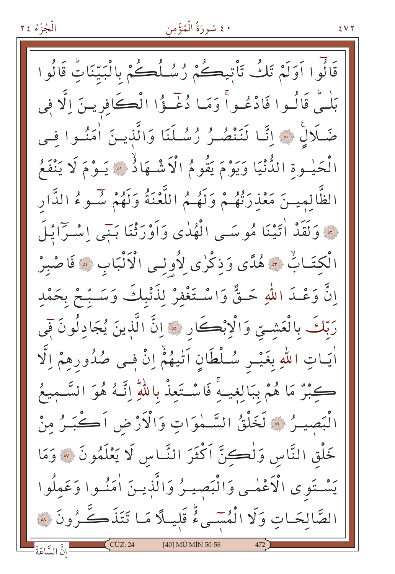### ٤٠ سُورَةُ الْمُؤْمِن

 $5YY$ 

قَالُوا اَوَلَمْ تَكُ تَأْتِيكُمْ رُسُلُكُمْ بِالْبَيِّنَاتِ قَالُوا بَلْهُمْ قَالُسُوا فَادْعُسُواْ وَمَا دُعْسُؤُا الْكَافِرِينَ الَّا فِي صَلَالٌ ﴾ اتَّا لَنَنْصُـرُ رُسُـلَنَا وَالَّذِيـنَ اٰمَنُـوا فيي الْحَيْـوةِ الدُّّنْيَا وَيَوْمَ يَقُومُ الْأَشْـهَادُ ۞ يَـوْمَ لَا يَنْفَعُ الظَّالميـنَ مَعْذرَتْهُـمْ وَلَهُـمُ اللَّعْنَةُ وَلَهُمْ سَـوءُ الدَّار فَ وَلَقَدْ أَتَيْنَا مُوسَى الْهُدٰى وَأَوْرَثْنَا بَنِي إِسْرَايْلَ الْكِتَـابٌ ۞ هُدًى وَذِكْرٰى لِأُولِـى الْأَلْبَابِ ۞ فَاصْبِرْ إِنَّ وَعْـدَ اللهِ حَـقٌّ وَاسْـتَغْفِرْ لِذَنْبِكَ وَسَـبِّحْ بِحَمْدِ رَبِّكَ بِالْعَشِيِّ وَالْإِبْكَارِ ۞ إِنَّ الَّذِينَ يُجَادِلُونَ فَمِي أَيَـاتِ اللهِ بِغَيْـرٍ سُـلْطَانٍ آتٰيهُمْۚ إِنَّْ فِـى صُدُورِهِمْ إِلَّا كِبْرٌ مَا هُمْ بِبَالِغِيبٌ فَاسْتَعِذْ بِاللَّهِ إِنَّـهُ هُوَ السَّـمِيعُ الْبَصِيـرُ ۞ لَخَلْقُ السَّـمٰوَاتِ وَالْأَرْضِ اَكْتَبِـرُ منْ خَلْقِ النَّاسِ وَلْكِنَّ اَكْثَرَ النَّـاسِ لَا يَعْلَمُونَ ۞ وَمَا يَسْتَوِي الْأَعْمٰى وَالْبَصِيرُ وَالَّذِينَ اٰمَنُوا وَعَملُوا الصَّالحَـاتِ وَلَا الْمُسَـىءُ قَلِيلًا مَـا تَتَذَكَّـرُونَ ۞ -<br>- إنَّ السَّاعَةَ [40] MÜ'MİN 50-58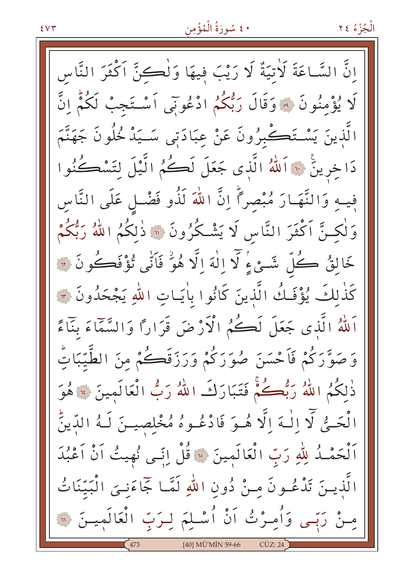## • ٤ سُورَةُ الْمُؤْمِن

إِنَّ السَّاعَةَ لَأَتِيَةٌ لَا رَيْبَ فِيهَا وَلْكِنَّ اَكْثَرَ النَّاس لَا يُؤْمِنُونَ ۞ وَقَالَ رَبُّكُمُ ادْعُونَى اَسْتَجِبْ لَكُمُّ انَّ الَّذِينَ يَسْتَكْبُرُونَ عَنْ عِبَادَتِي سَـيَدْ خُلُونَ جَهَنَّمَ دَا خِرِينَ ۞ اَللّٰهُ الَّذِى جَعَلَ لَكُمُ الَّيْلَ لِتَسْكُنُوا فيه وَالنَّهَـارَ مُبْصراً إِنَّ اللهَ لَذُو فَضْـل عَلَى النَّاسِ وَلْكِنَّ اَكْثَرَ النَّاسِ لَا يَشْكُرُونَ ۞ ذٰلكُمُ اللَّهُ رَبُّكُمْ خَالِقُ كُلّْ شَـئٍ ءٍۢ لَّا اللَّهَ اِلَّا هُوَٰ فَاَنِّي تُؤْفَكُونَ ۞ كَذٰلِكَ يُؤْفَـكُ الَّذِينَ كَانُوا بِاٰيَـاتِ اللهِ يَجْحَدُونَ ۞ اَللَّهُ الَّذِي جَعَلَ لَكُمُ الْأَرْضَ قَرَاراً وَالسَّمَّاءَ بِنَاءً وَصَوَّرَكُمْ فَأَحْسَنَ صُوَرَكُمْ وَرَزَقَكُمْ مِنَ الطَّيِّبَاتِّ ذٰلكُمُ اللَّهُ رَبُّصُكُمْ فَتَبَارَكَ اللَّهُ رَبُّ الْعَالَمِينَ \* هُوَ الْحَــُّى لَّا الْــهَ الَّا هُــوَ فَادْعُــوهُ مُخْلِصِيــنَ لَــهُ الدِّينِّ أَلْحَمْـدُ لِلّهِ رَبّ الْعَالَمِينَ ۞ قُلْ إِنّي نُهِيتُ أَنْ أَعْبُدَ الَّذِينَ تَدْعُـونَ مِـنْ دُونِ اللهِ لَمَّـا جَمَاءَنِـيَ الْبَيِّنَاتُ مِنْ رَبِّي وَأُمِرْتُ اَنْ أُسْلِمَ لِرَبِّ الْعَالَمِينَ ۞ [40] MÜ'MİN 59-66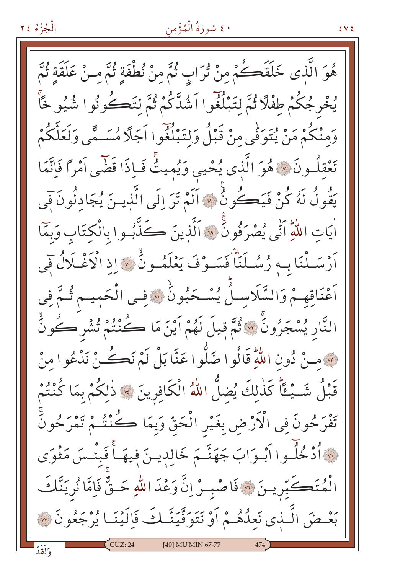### ٤٠ سُورَةُ الْمُؤْمِنِ

هُوَ الَّذي خَلَقَكُمْ منْ تُرَابٍ ثُمَّ مِنْ نُطْفَةٍ ثُمَّ مِنْ عَلَقَةٍ ثُمَّ يُخْرِجُكُمْ طِفْلًا ثُمَّ لِتَبْلُغُوا اَشُدَّكُمْ ثُمَّ لتَكُوثُوا شُيُو خَاَّ وَمِنْكُمْ مَنْ يُتَوَفَّى مِنْ قَبْلُ وَلِتَبْلُغُوا اَجَلَّا مُسَـمًّى وَلَعَلَّكُمْ تَعْقِلُونَ ﴾ هُوَ الَّذِي يُحْيِي وَيُمِيثُ فَبِإِذَا قَضَى آمْرًا فَإِنَّمَا يَقُولُ لَهُ كُنْ فَيَكُونُ ۚ لَّهَ اَلَمْ تَرَ إِلَى الَّذِينَ يُجَادِلُونَ فَي اٰيَاتِ اللَّهِ اَنِّي يُصْرَفُونَ ۚ وَ اَلَّذِينَ ڪَذَّبُوا بِالْكِتَابِ وَبِمَّا أَرْسَـلْنَا بِـهِ رُسُـلَنَا فَسَـوْفَ يَعْلَمُـونَٰ \* إِذِ الْآغْـلَالُ فِي اَعْنَاقِهِمْ وَالسَّلَاسِـلُ يُسْـحَبُونُ ۚ لَا فِـى الْحَمِيـم ثُـمَّ فِى النَّارِ يُسْجَرُونَ ۞ ثُمَّ قِيلَ لَهُمْ اَيْنَ مَا كُنْتُمْ تُشْرِكُونَّ مِنْ دُونِ اللَّهِ قَالُوا صَلُّوا عَنَّا بَلْ لَمْ نَكُنْ نَدْعُوا منْ قَبْلُ شَــْـئًا كَذٰلِكَ يُضِلُّ اللهُ الْكَافِرِينَ \* ذٰلِكُمْ بِمَا كُنْتُمْ تَفْرَحُونَ فِي الْأَرْضِ بِغَيْرِ الْحَقِّ وَبِمَا كُنْتُـمْ تَمْرَحُونَّ \* أُدْ خُلُوا أَبْوَابَ جَهَنَّـمَ خَالِدِيـنَ فِيهَــاً فَبِئْـسَ مَثْوَى الْمُتَكَبِّرِيسَ ۞ فَاصْبِـرْ إِنَّ وَعْدَ اللّٰهِ حَـقٌّ فَإِمَّا نُريَنَّكَ بَعْـضَ الَّـٰذي نَعِدُهُـمْ أَوْ نَتَوَفَّيَنَّـٰكَ فَإِلَيْنَـا يُرْجَعُونَ ۞ [40] MÜ'MİN 67-77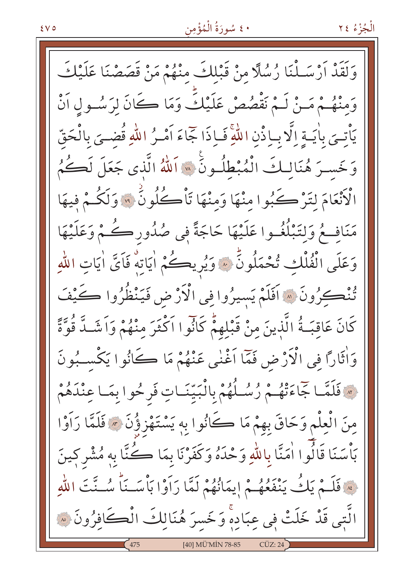# • ٤ سُورَةُ الْمُؤْمِن

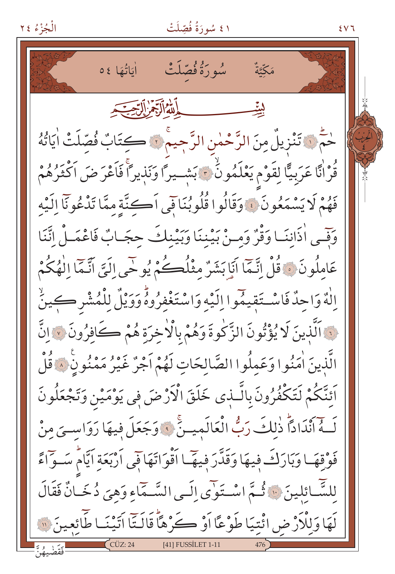### ١ ٤ سُورَةُ فُصِّلَتْ



 $8V$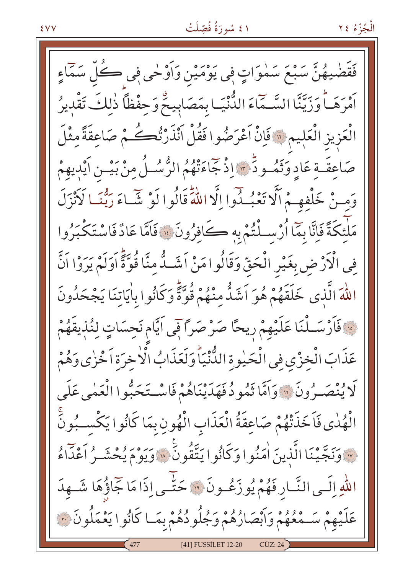### ١ ٤ سُورَةُ فُصِّلَتْ

الْجُزْءُ ٢٤

ضْيهُنَّ سَبْعَ سَمْوَاتٍ فِي يَوْمَيْنِ وَأَوْحٰى فِي ڪُلِّ سَمَّاءِ أَمْرَهَــاً وَزَيَّنَّا السَّــمَاءَ الدُّنْيَـا بِمَصَابِيحٌ وَحِفْظاً ذٰلِكَ تَقْدِيرُ الْعَزِيزِ الْعَلِيمِ \* فَإِنْ اَعْرَضُوا فَقُلْ اَنْذَرْتُكُمْ صَاعِقَةً مِثْلَ صَاعِقَةِ عَادِ وَثَمُو دٍّ مِنْ إِذْ جَاءَتْهُمُ الرُّسُـلُ مِنْ بَيْــنِ اَيْدِيهِمْ وَمِنْ خَلْفِهِمْ أَلَّا تَعْبُدُوا إِلَّا اللَّهَ قَالُوا لَوْ شَبَاءَ رَبُّنَـا لَأَنْزَلَ مَلْئكَةً فَإِنَّا بِمَّا أُرْسِـلْتُمْ بِهِ كَافِرُونَ ۚ ۚ فَاَمَّا عَادٌ فَاسْتَكْبَرُوا فِي الْأَرْضِ بِغَيْرِ الْحَقِّ وَقَالُوا مَنْ اَشَـدُّ مِنَّا قُوَّةً اَوَلَمْ يَرَوْا اَنَّ اللَّهَ الَّذِي خَلَقَهُمْ هُوَ أَشَدُّ مِنْهُمْ قُوَّةً وَكَانُوا بِاٰيَاتِنَا يَجْحَدُونَ فَأَرْسَـلْنَا عَلَيْهِمْ رِيحًا صَرْصَرًا فِي اَيَّام نَحِسَاتٍ لِنُٰذِيقَهُمْ عَذَابَ الْخِزْيِ فِي الْحَيْوةِ الدُّنْيَاً وَلَعَذَابُ الْاخِرَةِ اَخْزٰى وَهُمْ لَا يُنْصَـرُونَ ۞ وَاَمَّا ثَمُو دُ فَهَدَيْنَاهُمْ فَاسْـتَحَبُّوا الْعَمْى عَلَى الْهُلْى فَاَخَذَتْهُمْ صَاعِقَةُ الْعَذَابِ الْهُونِ بِمَا كَانُوا يَكْسِبُونَّ «وَنَجَّيْنَا الَّذِينَ اٰمَنُوا وَكَانُوا يَتَّقُونَ ۚ » وَيَوْمَ يُحْشَـرُ أَعْدَاءُ اللّٰهِ إِلَـى النَّـارِ فَهُمْ يُوزَعُـونَ ۚ وَ حَتّٰـى إِذَا مَا جَاؤُهَا شَـهِدَ عَلَيْهِمْ سَـهُعُهُمْ وَابْصَارُهُمْ وَجُلُودُهُمْ بِمَـا كَانُوا يَعْمَلُونَ ٣ [41] FUSSİLET 12-20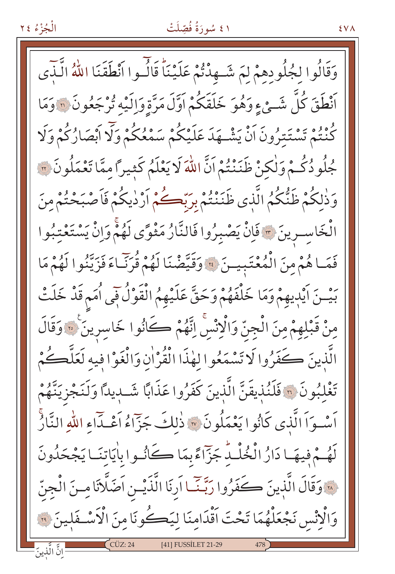# ا ٤ سُورَةُ فُصِّلَتْ

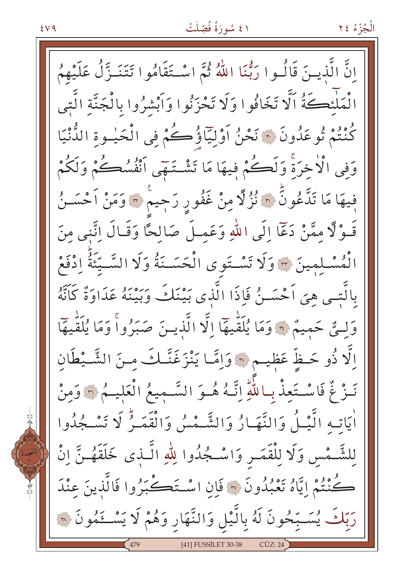## ٤١ سُورَةُ فُصِّلَتْ

انَّ الَّذينَ قَالُوا رَبُّنَا اللَّهُ ثُمَّ اسْتَقَامُوا تَتَنَـزَّلُ عَلَيْهِمُ الْمَلْئِكَةُ اَلَّا تَخَافُوا وَلَا تَحْزَنُوا وَاَبْشِرُوا بِالْجَنَّةِ الَّتِبِي كُنْتُمْ تُوعَدُونَ ۞ نَحْنُ أَوْلِيَاؤُكُمْ فِي الْحَيْـوةِ الدُّنْيَا وَفِي الْأَخِرَةِ وَلَكُمْ فِيهَا مَا تَشْتَهَى اَنْفُسُكُمْ وَلَكُمْ فِيهَا مَا تَدَّعُونَّ ۞ نُزُلًا مِنْ غَفُورِ رَجِيمٌ ۞ وَمَنْ اَحْسَـنُ قَـوْلًا مِمَّنْ دَعَآ إِلَى اللهِ وَعَمِـلَ صَالِحًا وَقَـالَ إِنَّني مِنَ الْمُسْلِمِينَ ﴾ وَلَا تَسْتَوى الْحَسَـنَةُ وَلَا السَّـيَّئَةُ ادْفَعْ بِالَّتِـي هِيَ اَحْسَـنُ فَإِذَا الَّذِي بَيْنَكَ وَبَيْنَهُ عَدَاوَةٌ كَانَّهُ وَلَّتٌ حَمِيمٌ \* وَمَا يُلَقِّيهَا إِلَّا الَّذِينَ صَبَرُواً وَمَا يُلَقِّيهَا اِلَّا ذُو حَظٍّ عَظِيمٍ ﴾ وَاِمَّا يَنْزَغَنَّـكَ مِنَ الشَّـيْطَانِ نَـزْ غٌ فَاسْـتَعِذْ بِاللَّهِ إِنَّـهُ هُـوَ السَّـمِيعُ الْعَلِيـمُ ۞ وَمِنْ اٰيَاتِه الَّيْـلُ وَالنَّهَـارُ وَالشَّـمْسُ وَالْقَمَـرُّ لَا تَسْـجُدُوا لِلشَّـْمْسِ وَلَا لِلْقَمَـرِ وَاسْـجُدُوا لِلَّهِ الَّـذي خَلَقَهُـنَّ انْ كُنْتُمْ إِيَّاهُ تَعْبُدُونَ ۞ فَإِنِ اسْتَكَحَبَرُوا فَالَّذِينَ عِنْدَ رَبّكَ يُسَـبّحُونَ لَهُ بِالَّيْلِ وَالنَّهَارِ وَهُمْ لَا يَسْـعَمُونَ ۞ [41] FUSSİLET 30-38